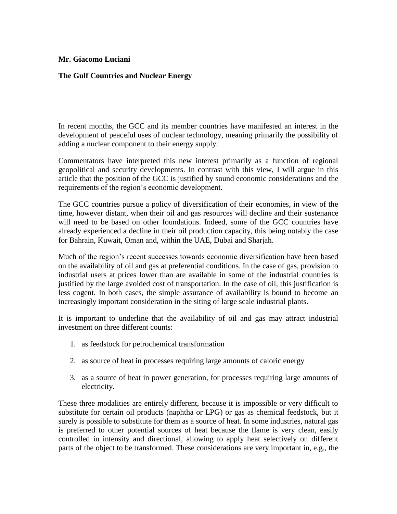## **Mr. Giacomo Luciani**

## **The Gulf Countries and Nuclear Energy**

In recent months, the GCC and its member countries have manifested an interest in the development of peaceful uses of nuclear technology, meaning primarily the possibility of adding a nuclear component to their energy supply.

Commentators have interpreted this new interest primarily as a function of regional geopolitical and security developments. In contrast with this view, I will argue in this article that the position of the GCC is justified by sound economic considerations and the requirements of the region's economic development.

The GCC countries pursue a policy of diversification of their economies, in view of the time, however distant, when their oil and gas resources will decline and their sustenance will need to be based on other foundations. Indeed, some of the GCC countries have already experienced a decline in their oil production capacity, this being notably the case for Bahrain, Kuwait, Oman and, within the UAE, Dubai and Sharjah.

Much of the region's recent successes towards economic diversification have been based on the availability of oil and gas at preferential conditions. In the case of gas, provision to industrial users at prices lower than are available in some of the industrial countries is justified by the large avoided cost of transportation. In the case of oil, this justification is less cogent. In both cases, the simple assurance of availability is bound to become an increasingly important consideration in the siting of large scale industrial plants.

It is important to underline that the availability of oil and gas may attract industrial investment on three different counts:

- 1. as feedstock for petrochemical transformation
- 2. as source of heat in processes requiring large amounts of caloric energy
- 3. as a source of heat in power generation, for processes requiring large amounts of electricity.

These three modalities are entirely different, because it is impossible or very difficult to substitute for certain oil products (naphtha or LPG) or gas as chemical feedstock, but it surely is possible to substitute for them as a source of heat. In some industries, natural gas is preferred to other potential sources of heat because the flame is very clean, easily controlled in intensity and directional, allowing to apply heat selectively on different parts of the object to be transformed. These considerations are very important in, e.g., the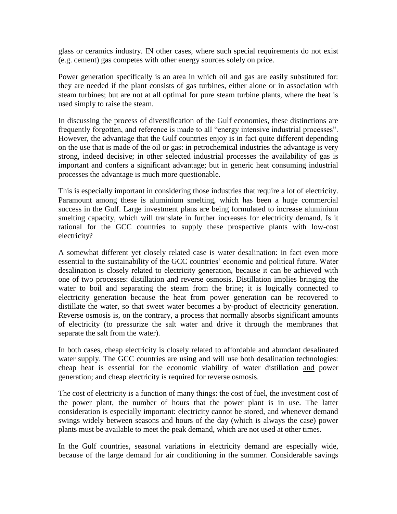glass or ceramics industry. IN other cases, where such special requirements do not exist (e.g. cement) gas competes with other energy sources solely on price.

Power generation specifically is an area in which oil and gas are easily substituted for: they are needed if the plant consists of gas turbines, either alone or in association with steam turbines; but are not at all optimal for pure steam turbine plants, where the heat is used simply to raise the steam.

In discussing the process of diversification of the Gulf economies, these distinctions are frequently forgotten, and reference is made to all "energy intensive industrial processes". However, the advantage that the Gulf countries enjoy is in fact quite different depending on the use that is made of the oil or gas: in petrochemical industries the advantage is very strong, indeed decisive; in other selected industrial processes the availability of gas is important and confers a significant advantage; but in generic heat consuming industrial processes the advantage is much more questionable.

This is especially important in considering those industries that require a lot of electricity. Paramount among these is aluminium smelting, which has been a huge commercial success in the Gulf. Large investment plans are being formulated to increase aluminium smelting capacity, which will translate in further increases for electricity demand. Is it rational for the GCC countries to supply these prospective plants with low-cost electricity?

A somewhat different yet closely related case is water desalination: in fact even more essential to the sustainability of the GCC countries' economic and political future. Water desalination is closely related to electricity generation, because it can be achieved with one of two processes: distillation and reverse osmosis. Distillation implies bringing the water to boil and separating the steam from the brine; it is logically connected to electricity generation because the heat from power generation can be recovered to distillate the water, so that sweet water becomes a by-product of electricity generation. Reverse osmosis is, on the contrary, a process that normally absorbs significant amounts of electricity (to pressurize the salt water and drive it through the membranes that separate the salt from the water).

In both cases, cheap electricity is closely related to affordable and abundant desalinated water supply. The GCC countries are using and will use both desalination technologies: cheap heat is essential for the economic viability of water distillation and power generation; and cheap electricity is required for reverse osmosis.

The cost of electricity is a function of many things: the cost of fuel, the investment cost of the power plant, the number of hours that the power plant is in use. The latter consideration is especially important: electricity cannot be stored, and whenever demand swings widely between seasons and hours of the day (which is always the case) power plants must be available to meet the peak demand, which are not used at other times.

In the Gulf countries, seasonal variations in electricity demand are especially wide, because of the large demand for air conditioning in the summer. Considerable savings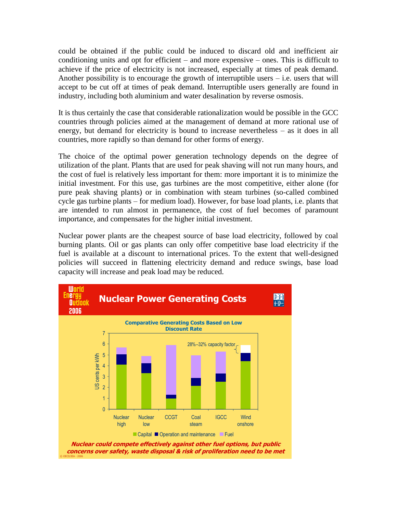could be obtained if the public could be induced to discard old and inefficient air conditioning units and opt for efficient – and more expensive – ones. This is difficult to achieve if the price of electricity is not increased, especially at times of peak demand. Another possibility is to encourage the growth of interruptible users  $-$  i.e. users that will accept to be cut off at times of peak demand. Interruptible users generally are found in industry, including both aluminium and water desalination by reverse osmosis.

It is thus certainly the case that considerable rationalization would be possible in the GCC countries through policies aimed at the management of demand at more rational use of energy, but demand for electricity is bound to increase nevertheless – as it does in all countries, more rapidly so than demand for other forms of energy.

The choice of the optimal power generation technology depends on the degree of utilization of the plant. Plants that are used for peak shaving will not run many hours, and the cost of fuel is relatively less important for them: more important it is to minimize the initial investment. For this use, gas turbines are the most competitive, either alone (for pure peak shaving plants) or in combination with steam turbines (so-called combined cycle gas turbine plants – for medium load). However, for base load plants, i.e. plants that are intended to run almost in permanence, the cost of fuel becomes of paramount importance, and compensates for the higher initial investment.

Nuclear power plants are the cheapest source of base load electricity, followed by coal burning plants. Oil or gas plants can only offer competitive base load electricity if the fuel is available at a discount to international prices. To the extent that well-designed policies will succeed in flattening electricity demand and reduce swings, base load capacity will increase and peak load may be reduced.

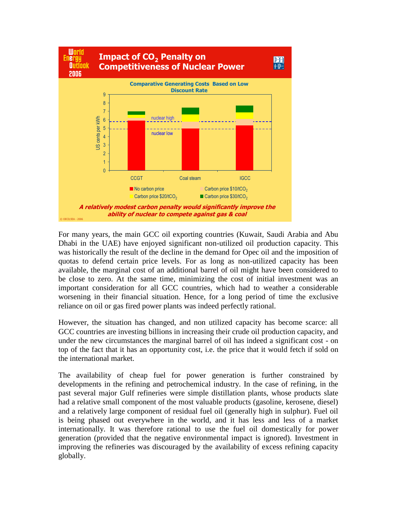

For many years, the main GCC oil exporting countries (Kuwait, Saudi Arabia and Abu Dhabi in the UAE) have enjoyed significant non-utilized oil production capacity. This was historically the result of the decline in the demand for Opec oil and the imposition of quotas to defend certain price levels. For as long as non-utilized capacity has been available, the marginal cost of an additional barrel of oil might have been considered to be close to zero. At the same time, minimizing the cost of initial investment was an important consideration for all GCC countries, which had to weather a considerable worsening in their financial situation. Hence, for a long period of time the exclusive reliance on oil or gas fired power plants was indeed perfectly rational.

However, the situation has changed, and non utilized capacity has become scarce: all GCC countries are investing billions in increasing their crude oil production capacity, and under the new circumstances the marginal barrel of oil has indeed a significant cost - on top of the fact that it has an opportunity cost, i.e. the price that it would fetch if sold on the international market.

The availability of cheap fuel for power generation is further constrained by developments in the refining and petrochemical industry. In the case of refining, in the past several major Gulf refineries were simple distillation plants, whose products slate had a relative small component of the most valuable products (gasoline, kerosene, diesel) and a relatively large component of residual fuel oil (generally high in sulphur). Fuel oil is being phased out everywhere in the world, and it has less and less of a market internationally. It was therefore rational to use the fuel oil domestically for power generation (provided that the negative environmental impact is ignored). Investment in improving the refineries was discouraged by the availability of excess refining capacity globally.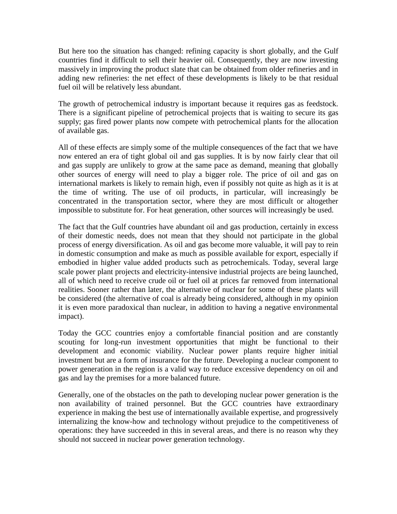But here too the situation has changed: refining capacity is short globally, and the Gulf countries find it difficult to sell their heavier oil. Consequently, they are now investing massively in improving the product slate that can be obtained from older refineries and in adding new refineries: the net effect of these developments is likely to be that residual fuel oil will be relatively less abundant.

The growth of petrochemical industry is important because it requires gas as feedstock. There is a significant pipeline of petrochemical projects that is waiting to secure its gas supply; gas fired power plants now compete with petrochemical plants for the allocation of available gas.

All of these effects are simply some of the multiple consequences of the fact that we have now entered an era of tight global oil and gas supplies. It is by now fairly clear that oil and gas supply are unlikely to grow at the same pace as demand, meaning that globally other sources of energy will need to play a bigger role. The price of oil and gas on international markets is likely to remain high, even if possibly not quite as high as it is at the time of writing. The use of oil products, in particular, will increasingly be concentrated in the transportation sector, where they are most difficult or altogether impossible to substitute for. For heat generation, other sources will increasingly be used.

The fact that the Gulf countries have abundant oil and gas production, certainly in excess of their domestic needs, does not mean that they should not participate in the global process of energy diversification. As oil and gas become more valuable, it will pay to rein in domestic consumption and make as much as possible available for export, especially if embodied in higher value added products such as petrochemicals. Today, several large scale power plant projects and electricity-intensive industrial projects are being launched, all of which need to receive crude oil or fuel oil at prices far removed from international realities. Sooner rather than later, the alternative of nuclear for some of these plants will be considered (the alternative of coal is already being considered, although in my opinion it is even more paradoxical than nuclear, in addition to having a negative environmental impact).

Today the GCC countries enjoy a comfortable financial position and are constantly scouting for long-run investment opportunities that might be functional to their development and economic viability. Nuclear power plants require higher initial investment but are a form of insurance for the future. Developing a nuclear component to power generation in the region is a valid way to reduce excessive dependency on oil and gas and lay the premises for a more balanced future.

Generally, one of the obstacles on the path to developing nuclear power generation is the non availability of trained personnel. But the GCC countries have extraordinary experience in making the best use of internationally available expertise, and progressively internalizing the know-how and technology without prejudice to the competitiveness of operations: they have succeeded in this in several areas, and there is no reason why they should not succeed in nuclear power generation technology.